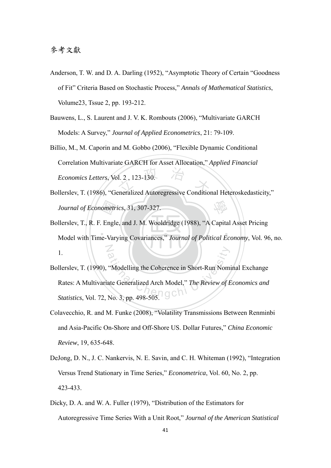- Anderson, T. W. and D. A. Darling (1952), "Asymptotic Theory of Certain "Goodness of Fit" Criteria Based on Stochastic Process," *Annals of Mathematical Statistics*, Volume23, Tssue 2, pp. 193-212.
- Bauwens, L., S. Laurent and J. V. K. Rombouts (2006), "Multivariate GARCH Models: A Survey," *Journal of Applied Econometrics*, 21: 79-109.
- Economics Letters, Vol. 2, 123-130.<br>Bollerslev, T. (1986), "Generalized Autoregressive Conditional Heteroskedasticity," Billio, M., M. Caporin and M. Gobbo (2006), "Flexible Dynamic Conditional Correlation Multivariate GARCH for Asset Allocation," *Applied Financial Economics Letters*, Vol. 2 , 123-130.
- 學 *Journal of Econometrics*, 31, 307-327.
- ‧Model with Time-Varying Covariances," *Journal of Political Economy*, Vol. 96, no. ometr<br>. Engl<br>.e-Var ‧ N Bollerslev, T., R. F. Engle, and J. M. Wooldridge (1988), "A Capital Asset Pricing 1.
- Wodelling the Coherence in Short-Run Nom<br>ate Generalized Arch Model," The Review of B<br>No. 3, pp. 498-505 Bollerslev, T. (1990), "Modelling the Coherence in Short-Run Nominal Exchange Rates: A Multivariate Generalized Arch Model," *The Review of Economics and Statistics*, Vol. 72, No. 3, pp. 498-505. OCD
- Colavecchio, R. and M. Funke (2008), "Volatility Transmissions Between Renminbi and Asia-Pacific On-Shore and Off-Shore US. Dollar Futures," *China Economic Review*, 19, 635-648.
- DeJong, D. N., J. C. Nankervis, N. E. Savin, and C. H. Whiteman (1992), "Integration Versus Trend Stationary in Time Series," *Econometrica*, Vol. 60, No. 2, pp. 423-433.
- Dicky, D. A. and W. A. Fuller (1979), "Distribution of the Estimators for Autoregressive Time Series With a Unit Root," *Journal of the American Statistical*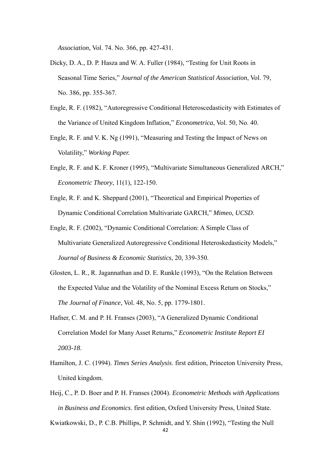*Association*, Vol. 74. No. 366, pp. 427-431.

- Dicky, D. A., D. P. Hasza and W. A. Fuller (1984), "Testing for Unit Roots in Seasonal Time Series," *Journal of the American Statistical Association*, Vol. 79, No. 386, pp. 355-367.
- Engle, R. F. (1982), "Autoregressive Conditional Heteroscedasticity with Estimates of the Variance of United Kingdom Inflation," *Econometrica*, Vol. 50, No. 40.
- Engle, R. F. and V. K. Ng (1991), "Measuring and Testing the Impact of News on Volatility," *Working Paper.*
- Engle, R. F. and K. F. Kroner (1995), "Multivariate Simultaneous Generalized ARCH," *Econometric Theory*, 11(1), 122-150.
- Engle, R. F. and K. Sheppard (2001), "Theoretical and Empirical Properties of Dynamic Conditional Correlation Multivariate GARCH," *Mimeo, UCSD*.
- Engle, R. F. (2002), "Dynamic Conditional Correlation: A Simple Class of Multivariate Generalized Autoregressive Conditional Heteroskedasticity Models," *Journal of Business & Economic Statistics*, 20, 339-350.
- Glosten, L. R., R. Jagannathan and D. E. Runkle (1993), "On the Relation Between the Expected Value and the Volatility of the Nominal Excess Return on Stocks," *The Journal of Finance*, Vol. 48, No. 5, pp. 1779-1801.
- Hafner, C. M. and P. H. Franses (2003), "A Generalized Dynamic Conditional Correlation Model for Many Asset Returns," *Econometric Institute Report EI 2003-18*.
- Hamilton, J. C. (1994). *Times Series Analysis*. first edition, Princeton University Press, United kingdom.
- Heij, C., P. D. Boer and P. H. Franses (2004). *Econometric Methods with Applications in Business and Economics*. first edition, Oxford University Press, United State.

Kwiatkowski, D., P. C.B. Phillips, P. Schmidt, and Y. Shin (1992), "Testing the Null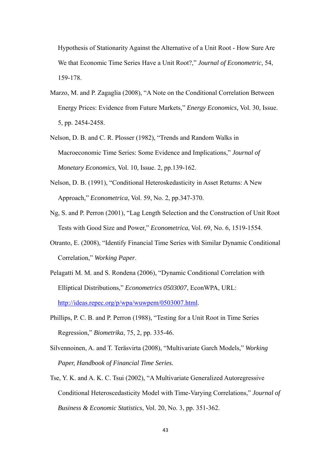Hypothesis of Stationarity Against the Alternative of a Unit Root - How Sure Are We that Economic Time Series Have a Unit Root?," *Journal of Econometric*, 54, 159-178.

- Marzo, M. and P. Zagaglia (2008), "A Note on the Conditional Correlation Between Energy Prices: Evidence from Future Markets," *Energy Economics,* Vol. 30, Issue. 5, pp. 2454-2458.
- Nelson, D. B. and C. R. Plosser (1982), "Trends and Random Walks in Macroeconomic Time Series: Some Evidence and Implications," *Journal of Monetary Economics*, Vol. 10, Issue. 2, pp.139-162.
- Nelson, D. B. (1991), "Conditional Heteroskedasticity in Asset Returns: A New Approach," *Econometrica*, Vol. 59, No. 2, pp.347-370.
- Ng, S. and P. Perron (2001), "Lag Length Selection and the Construction of Unit Root Tests with Good Size and Power," *Econometrica*, Vol. 69, No. 6, 1519-1554.
- Otranto, E. (2008), "Identify Financial Time Series with Similar Dynamic Conditional Correlation," *Working Paper*.
- Pelagatti M. M. and S. Rondena (2006), "Dynamic Conditional Correlation with Elliptical Distributions," *Econometrics 0503007*, EconWPA, URL: http://ideas.repec.org/p/wpa/wuwpem/0503007.html.
- Phillips, P. C. B. and P. Perron (1988), "Testing for a Unit Root in Time Series Regression," *Biometrika*, 75, 2, pp. 335-46.
- Silvennoinen, A. and T. Teräsvirta (2008), "Multivariate Garch Models," *Working Paper, Handbook of Financial Time Series.*
- Tse, Y. K. and A. K. C. Tsui (2002), "A Multivariate Generalized Autoregressive Conditional Heteroscedasticity Model with Time-Varying Correlations," *Journal of Business & Economic Statistics*, Vol. 20, No. 3, pp. 351-362.